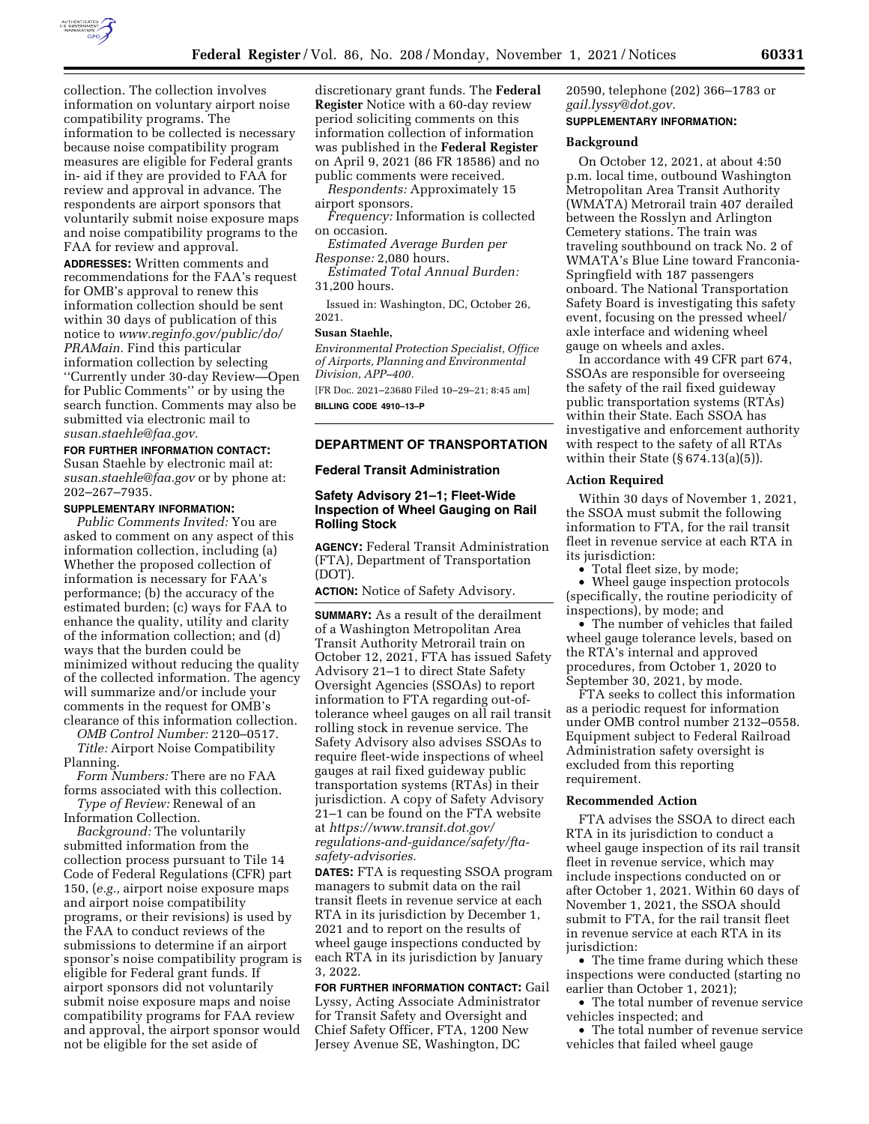

collection. The collection involves information on voluntary airport noise compatibility programs. The information to be collected is necessary because noise compatibility program measures are eligible for Federal grants in- aid if they are provided to FAA for review and approval in advance. The respondents are airport sponsors that voluntarily submit noise exposure maps and noise compatibility programs to the FAA for review and approval.

**ADDRESSES:** Written comments and recommendations for the FAA's request for OMB's approval to renew this information collection should be sent within 30 days of publication of this notice to *[www.reginfo.gov/public/do/](http://www.reginfo.gov/public/do/PRAMain) [PRAMain.](http://www.reginfo.gov/public/do/PRAMain)* Find this particular information collection by selecting ''Currently under 30-day Review—Open for Public Comments'' or by using the search function. Comments may also be submitted via electronic mail to *[susan.staehle@faa.gov.](mailto:susan.staehle@faa.gov)* 

#### **FOR FURTHER INFORMATION CONTACT:**

Susan Staehle by electronic mail at: *[susan.staehle@faa.gov](mailto:susan.staehle@faa.gov)* or by phone at: 202–267–7935.

# **SUPPLEMENTARY INFORMATION:**

*Public Comments Invited:* You are asked to comment on any aspect of this information collection, including (a) Whether the proposed collection of information is necessary for FAA's performance; (b) the accuracy of the estimated burden; (c) ways for FAA to enhance the quality, utility and clarity of the information collection; and (d) ways that the burden could be minimized without reducing the quality of the collected information. The agency will summarize and/or include your comments in the request for OMB's clearance of this information collection.

*OMB Control Number:* 2120–0517. *Title:* Airport Noise Compatibility Planning.

*Form Numbers:* There are no FAA forms associated with this collection.

*Type of Review:* Renewal of an Information Collection.

*Background:* The voluntarily submitted information from the collection process pursuant to Tile 14 Code of Federal Regulations (CFR) part 150, (*e.g.,* airport noise exposure maps and airport noise compatibility programs, or their revisions) is used by the FAA to conduct reviews of the submissions to determine if an airport sponsor's noise compatibility program is eligible for Federal grant funds. If airport sponsors did not voluntarily submit noise exposure maps and noise compatibility programs for FAA review and approval, the airport sponsor would not be eligible for the set aside of

discretionary grant funds. The **Federal Register** Notice with a 60-day review period soliciting comments on this information collection of information was published in the **Federal Register**  on April 9, 2021 (86 FR 18586) and no public comments were received.

*Respondents:* Approximately 15 airport sponsors.

*Frequency:* Information is collected on occasion.

*Estimated Average Burden per Response:* 2,080 hours.

*Estimated Total Annual Burden:*  31,200 hours.

Issued in: Washington, DC, October 26, 2021.

#### **Susan Staehle,**

*Environmental Protection Specialist, Office of Airports, Planning and Environmental Division, APP–400.* 

[FR Doc. 2021–23680 Filed 10–29–21; 8:45 am] **BILLING CODE 4910–13–P** 

## **DEPARTMENT OF TRANSPORTATION**

#### **Federal Transit Administration**

# **Safety Advisory 21–1; Fleet-Wide Inspection of Wheel Gauging on Rail Rolling Stock**

**AGENCY:** Federal Transit Administration (FTA), Department of Transportation (DOT).

**ACTION:** Notice of Safety Advisory.

**SUMMARY:** As a result of the derailment of a Washington Metropolitan Area Transit Authority Metrorail train on October 12, 2021, FTA has issued Safety Advisory 21–1 to direct State Safety Oversight Agencies (SSOAs) to report information to FTA regarding out-oftolerance wheel gauges on all rail transit rolling stock in revenue service. The Safety Advisory also advises SSOAs to require fleet-wide inspections of wheel gauges at rail fixed guideway public transportation systems (RTAs) in their jurisdiction. A copy of Safety Advisory 21–1 can be found on the FTA website at *[https://www.transit.dot.gov/](https://www.transit.dot.gov/regulations-and-guidance/safety/fta-safety-advisories) [regulations-and-guidance/safety/fta](https://www.transit.dot.gov/regulations-and-guidance/safety/fta-safety-advisories)[safety-advisories.](https://www.transit.dot.gov/regulations-and-guidance/safety/fta-safety-advisories)* 

**DATES:** FTA is requesting SSOA program managers to submit data on the rail transit fleets in revenue service at each RTA in its jurisdiction by December 1, 2021 and to report on the results of wheel gauge inspections conducted by each RTA in its jurisdiction by January 3, 2022.

**FOR FURTHER INFORMATION CONTACT:** Gail Lyssy, Acting Associate Administrator for Transit Safety and Oversight and Chief Safety Officer, FTA, 1200 New Jersey Avenue SE, Washington, DC

20590, telephone (202) 366–1783 or *[gail.lyssy@dot.gov.](mailto:gail.lyssy@dot.gov)* 

# **SUPPLEMENTARY INFORMATION:**

## **Background**

On October 12, 2021, at about 4:50 p.m. local time, outbound Washington Metropolitan Area Transit Authority (WMATA) Metrorail train 407 derailed between the Rosslyn and Arlington Cemetery stations. The train was traveling southbound on track No. 2 of WMATA's Blue Line toward Franconia-Springfield with 187 passengers onboard. The National Transportation Safety Board is investigating this safety event, focusing on the pressed wheel/ axle interface and widening wheel gauge on wheels and axles.

In accordance with 49 CFR part 674, SSOAs are responsible for overseeing the safety of the rail fixed guideway public transportation systems (RTAs) within their State. Each SSOA has investigative and enforcement authority with respect to the safety of all RTAs within their State  $(\S 674.13(a)(5))$ .

#### **Action Required**

Within 30 days of November 1, 2021, the SSOA must submit the following information to FTA, for the rail transit fleet in revenue service at each RTA in its jurisdiction:

• Total fleet size, by mode;

• Wheel gauge inspection protocols (specifically, the routine periodicity of inspections), by mode; and

• The number of vehicles that failed wheel gauge tolerance levels, based on the RTA's internal and approved procedures, from October 1, 2020 to September 30, 2021, by mode.

FTA seeks to collect this information as a periodic request for information under OMB control number 2132–0558. Equipment subject to Federal Railroad Administration safety oversight is excluded from this reporting requirement.

#### **Recommended Action**

FTA advises the SSOA to direct each RTA in its jurisdiction to conduct a wheel gauge inspection of its rail transit fleet in revenue service, which may include inspections conducted on or after October 1, 2021. Within 60 days of November 1, 2021, the SSOA should submit to FTA, for the rail transit fleet in revenue service at each RTA in its jurisdiction:

• The time frame during which these inspections were conducted (starting no earlier than October 1, 2021);

• The total number of revenue service vehicles inspected; and

• The total number of revenue service vehicles that failed wheel gauge